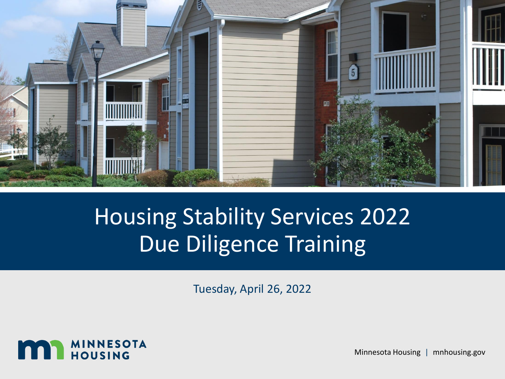

### Housing Stability Services 2022 Due Diligence Training

Tuesday, April 26, 2022



Minnesota Housing | mnhousing.gov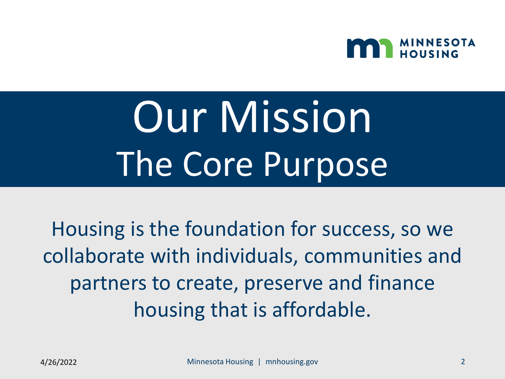

## Our Mission The Core Purpose

Housing is the foundation for success, so we collaborate with individuals, communities and partners to create, preserve and finance housing that is affordable.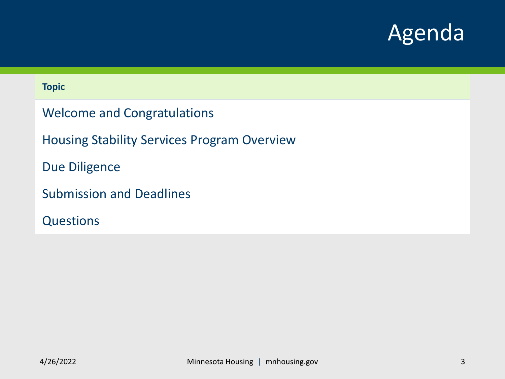

#### **Topic**

Welcome and Congratulations

Housing Stability Services Program Overview

Due Diligence

Submission and Deadlines

**Questions**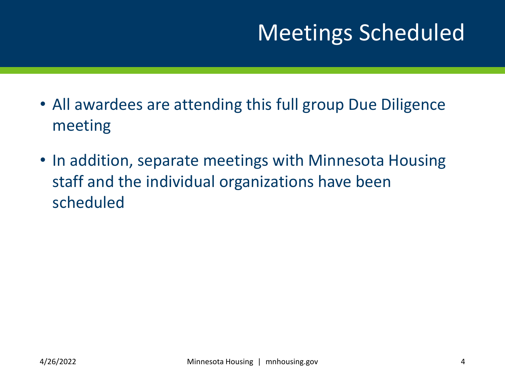### Meetings Scheduled

- All awardees are attending this full group Due Diligence meeting
- In addition, separate meetings with Minnesota Housing staff and the individual organizations have been scheduled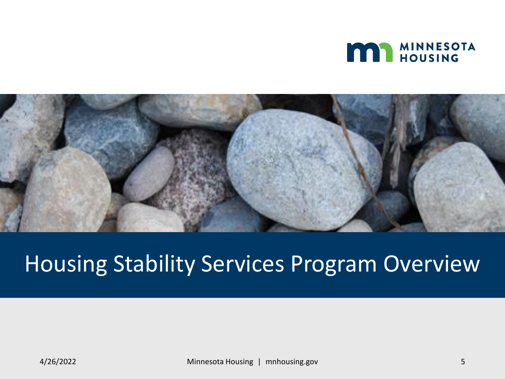



#### Housing Stability Services Program Overview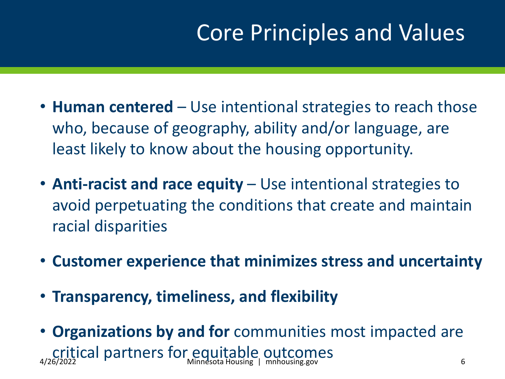### Core Principles and Values

- **Human centered**  Use intentional strategies to reach those who, because of geography, ability and/or language, are least likely to know about the housing opportunity.
- **Anti-racist and race equity**  Use intentional strategies to avoid perpetuating the conditions that create and maintain racial disparities
- **Customer experience that minimizes stress and uncertainty**
- **Transparency, timeliness, and flexibility**
- 4/26/2022 Minnesota Housing | mnhousing.gov 6 critical partners for equitable outcomes• **Organizations by and for** communities most impacted are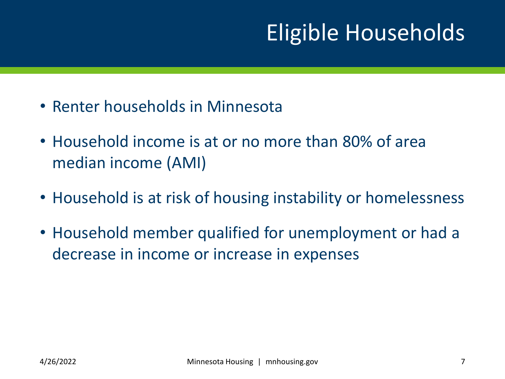### Eligible Households

- Renter households in Minnesota
- Household income is at or no more than 80% of area median income (AMI)
- Household is at risk of housing instability or homelessness
- Household member qualified for unemployment or had a decrease in income or increase in expenses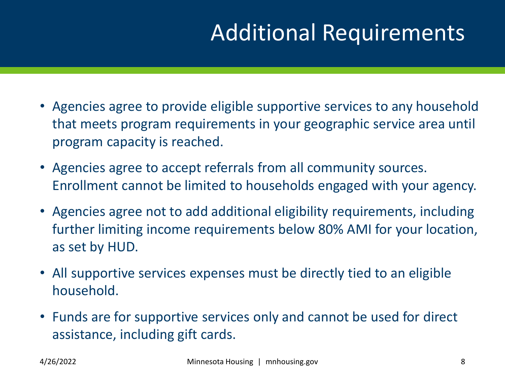### Additional Requirements

- Agencies agree to provide eligible supportive services to any household that meets program requirements in your geographic service area until program capacity is reached.
- Agencies agree to accept referrals from all community sources. Enrollment cannot be limited to households engaged with your agency.
- Agencies agree not to add additional eligibility requirements, including further limiting income requirements below 80% AMI for your location, as set by HUD.
- All supportive services expenses must be directly tied to an eligible household.
- Funds are for supportive services only and cannot be used for direct assistance, including gift cards.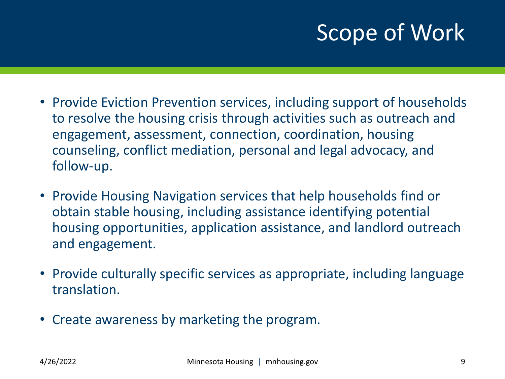## Scope of Work

- Provide Eviction Prevention services, including support of households to resolve the housing crisis through activities such as outreach and engagement, assessment, connection, coordination, housing counseling, conflict mediation, personal and legal advocacy, and follow-up.
- Provide Housing Navigation services that help households find or obtain stable housing, including assistance identifying potential housing opportunities, application assistance, and landlord outreach and engagement.
- Provide culturally specific services as appropriate, including language translation.
- Create awareness by marketing the program.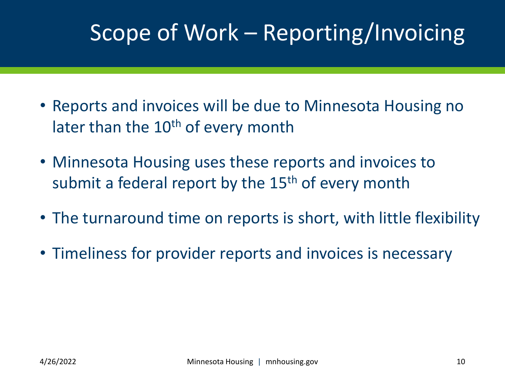### Scope of Work – Reporting/Invoicing

- Reports and invoices will be due to Minnesota Housing no later than the  $10<sup>th</sup>$  of every month
- Minnesota Housing uses these reports and invoices to submit a federal report by the 15<sup>th</sup> of every month
- The turnaround time on reports is short, with little flexibility
- Timeliness for provider reports and invoices is necessary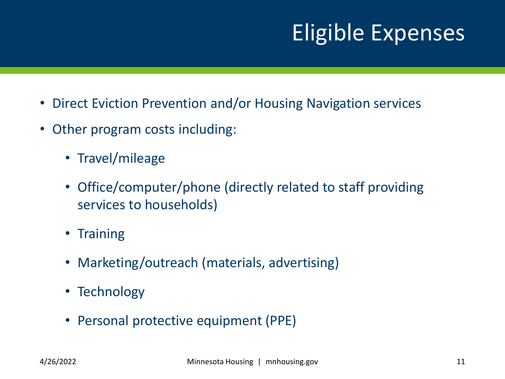### Eligible Expenses

- Direct Eviction Prevention and/or Housing Navigation services
- Other program costs including:
	- Travel/mileage
	- Office/computer/phone (directly related to staff providing services to households)
	- Training
	- Marketing/outreach (materials, advertising)
	- Technology
	- Personal protective equipment (PPE)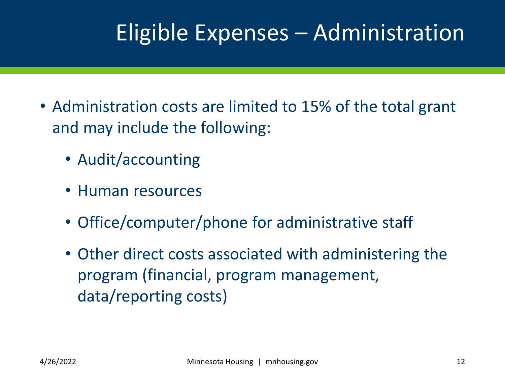#### Eligible Expenses – Administration

- Administration costs are limited to 15% of the total grant and may include the following:
	- Audit/accounting
	- Human resources
	- Office/computer/phone for administrative staff
	- Other direct costs associated with administering the program (financial, program management, data/reporting costs)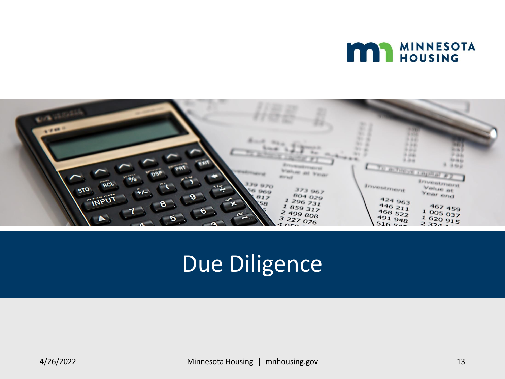



#### Due Diligence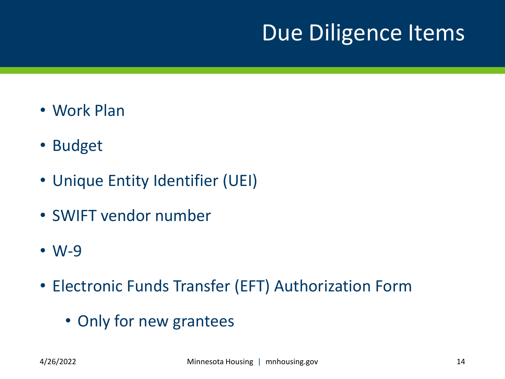### Due Diligence Items

- Work Plan
- Budget
- Unique Entity Identifier (UEI)
- SWIFT vendor number
- W-9
- Electronic Funds Transfer (EFT) Authorization Form
	- Only for new grantees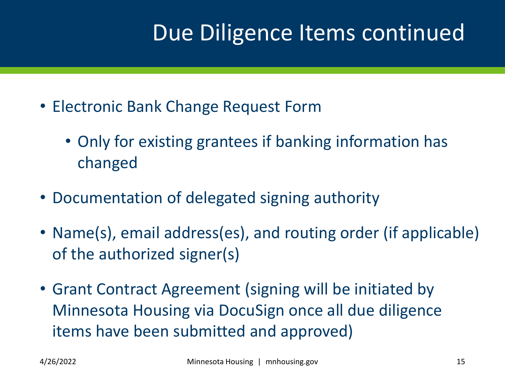### Due Diligence Items continued

- Electronic Bank Change Request Form
	- Only for existing grantees if banking information has changed
- Documentation of delegated signing authority
- Name(s), email address(es), and routing order (if applicable) of the authorized signer(s)
- Grant Contract Agreement (signing will be initiated by Minnesota Housing via DocuSign once all due diligence items have been submitted and approved)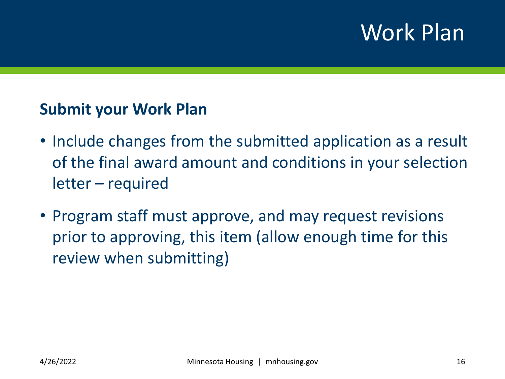#### Work Plan

#### **Submit your Work Plan**

- Include changes from the submitted application as a result of the final award amount and conditions in your selection letter – required
- Program staff must approve, and may request revisions prior to approving, this item (allow enough time for this review when submitting)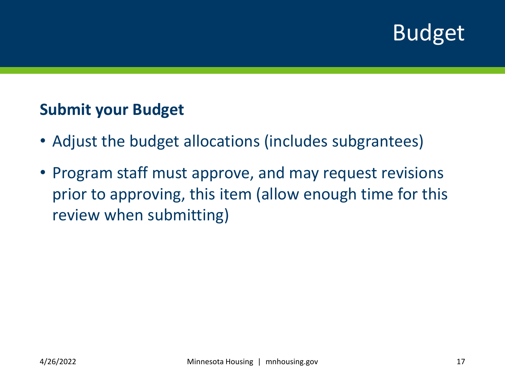#### Budget

#### **Submit your Budget**

- Adjust the budget allocations (includes subgrantees)
- Program staff must approve, and may request revisions prior to approving, this item (allow enough time for this review when submitting)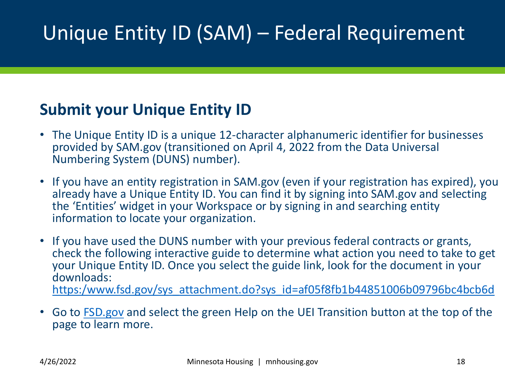#### **Submit your Unique Entity ID**

- The Unique Entity ID is a unique 12-character alphanumeric identifier for businesses provided by SAM.gov (transitioned on April 4, 2022 from the Data Universal Numbering System (DUNS) number).
- If you have an entity registration in SAM.gov (even if your registration has expired), you already have a Unique Entity ID. You can find it by signing into SAM.gov and selecting the 'Entities' widget in your Workspace or by signing in and searching entity information to locate your organization.
- If you have used the DUNS number with your previous federal contracts or grants, check the following interactive guide to determine what action you need to take to get your Unique Entity ID. Once you select the guide link, look for the document in your downloads: [https:/www.fsd.gov/sys\\_attachment.do?sys\\_id=af05f8fb1b44851006b09796bc4bcb6d](https://gcc02.safelinks.protection.outlook.com/?url=https%3A%2F%2Fwww.fsd.gov%2Fsys_attachment.do%3Fsys_id%3Daf05f8fb1b44851006b09796bc4bcb6d&data=04%7C01%7CMerideth.Mayrand%40state.mn.us%7Cf79a75c833ff4a45d48208da0142245b%7Ceb14b04624c445198f26b89c2159828c%7C0%7C0%7C637823680823074552%7CUnknown%7CTWFpbGZsb3d8eyJWIjoiMC4wLjAwMDAiLCJQIjoiV2luMzIiLCJBTiI6Ik1haWwiLCJXVCI6Mn0%3D%7C3000&sdata=fdDttPMq2vXkqrqR%2Fj%2FyuxSDfzguF7yZJPC7YzaezsA%3D&reserved=0)
- Go to [FSD.gov](%3ehttps:/www.fsd.gov/%3c) and select the green Help on the UEI Transition button at the top of the page to learn more.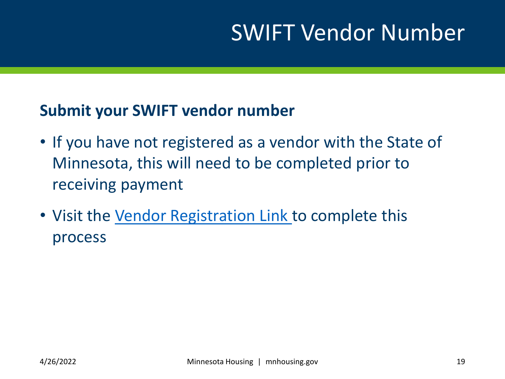#### SWIFT Vendor Number

#### **Submit your SWIFT vendor number**

- If you have not registered as a vendor with the State of Minnesota, this will need to be completed prior to receiving payment
- Visit the [Vendor Registration Link](https://mn.gov/admin/business/vendor-info/) to complete this process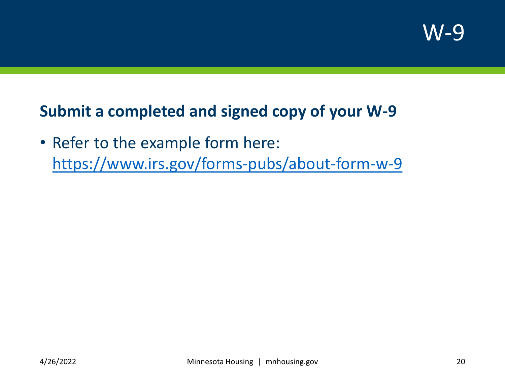#### **Submit a completed and signed copy of your W-9**

• Refer to the example form here: <https://www.irs.gov/forms-pubs/about-form-w-9>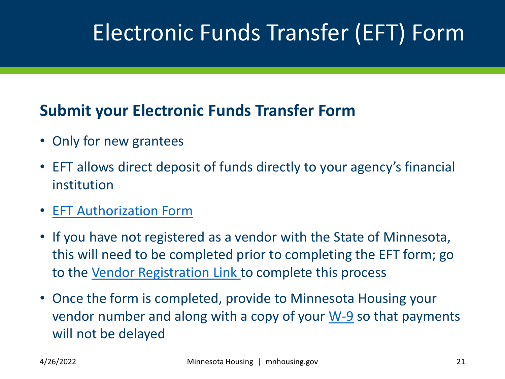### Electronic Funds Transfer (EFT) Form

#### **Submit your Electronic Funds Transfer Form**

- Only for new grantees
- EFT allows direct deposit of funds directly to your agency's financial institution
- **[EFT Authorization Form](https://mn.gov/mmb-stat/documents/swift/vendor/eft.pdf)**
- If you have not registered as a vendor with the State of Minnesota, this will need to be completed prior to completing the EFT form; go to the [Vendor Registration Link](https://mn.gov/admin/business/vendor-info/) to complete this process
- Once the form is completed, provide to Minnesota Housing your vendor number and along with a copy of your  $W-9$  so that payments will not be delayed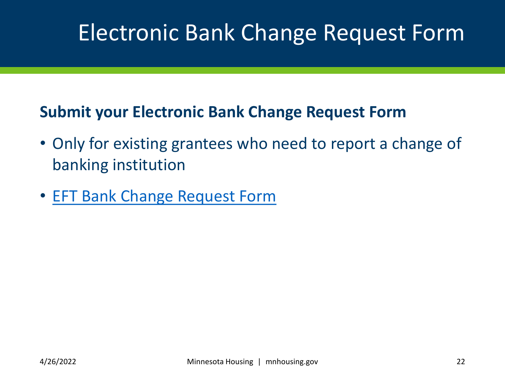### Electronic Bank Change Request Form

#### **Submit your Electronic Bank Change Request Form**

- Only for existing grantees who need to report a change of banking institution
- [EFT Bank Change Request Form](https://mn.gov/mmb-stat/documents/swift/vendor/bank-change.pdf)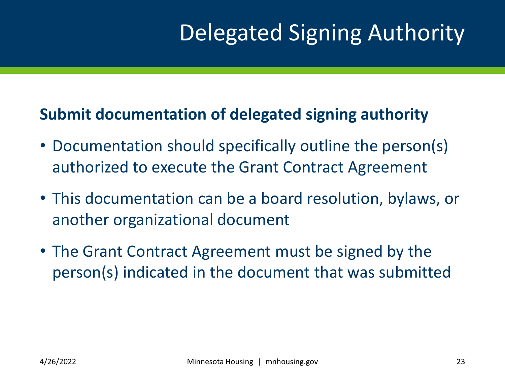### Delegated Signing Authority

#### **Submit documentation of delegated signing authority**

- Documentation should specifically outline the person(s) authorized to execute the Grant Contract Agreement
- This documentation can be a board resolution, bylaws, or another organizational document
- The Grant Contract Agreement must be signed by the person(s) indicated in the document that was submitted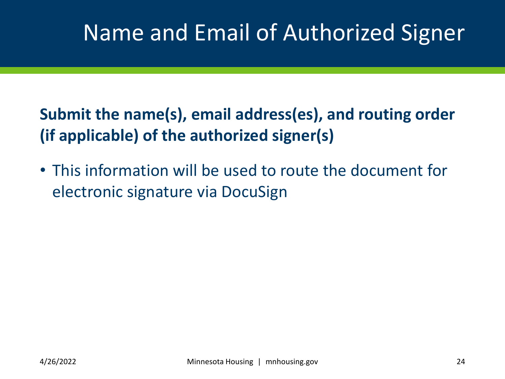### Name and Email of Authorized Signer

#### **Submit the name(s), email address(es), and routing order (if applicable) of the authorized signer(s)**

• This information will be used to route the document for electronic signature via DocuSign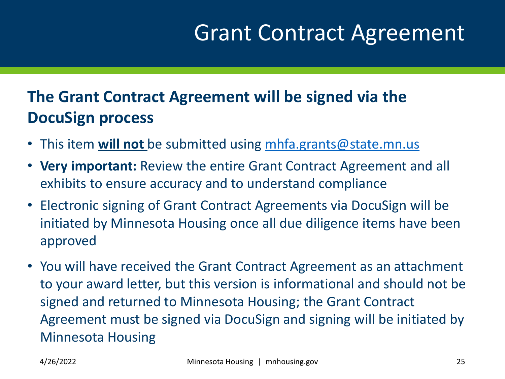#### Grant Contract Agreement

#### **The Grant Contract Agreement will be signed via the DocuSign process**

- This item **will not** be submitted using [mhfa.grants@state.mn.us](mailto:MHFA.Grants@state.mn.us)
- **Very important:** Review the entire Grant Contract Agreement and all exhibits to ensure accuracy and to understand compliance
- Electronic signing of Grant Contract Agreements via DocuSign will be initiated by Minnesota Housing once all due diligence items have been approved
- You will have received the Grant Contract Agreement as an attachment to your award letter, but this version is informational and should not be signed and returned to Minnesota Housing; the Grant Contract Agreement must be signed via DocuSign and signing will be initiated by Minnesota Housing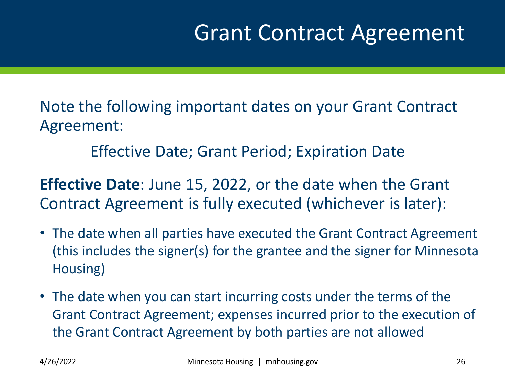#### Grant Contract Agreement

Note the following important dates on your Grant Contract Agreement:

Effective Date; Grant Period; Expiration Date

**Effective Date**: June 15, 2022, or the date when the Grant Contract Agreement is fully executed (whichever is later):

- The date when all parties have executed the Grant Contract Agreement (this includes the signer(s) for the grantee and the signer for Minnesota Housing)
- The date when you can start incurring costs under the terms of the Grant Contract Agreement; expenses incurred prior to the execution of the Grant Contract Agreement by both parties are not allowed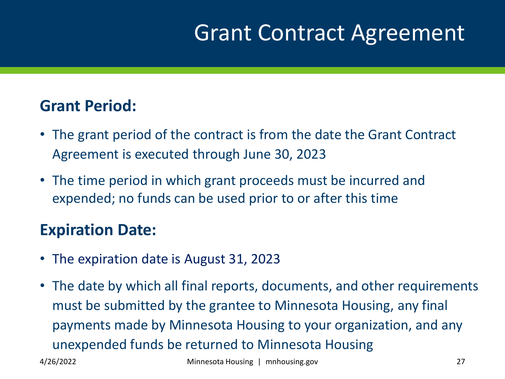#### Grant Contract Agreement

#### **Grant Period:**

- The grant period of the contract is from the date the Grant Contract Agreement is executed through June 30, 2023
- The time period in which grant proceeds must be incurred and expended; no funds can be used prior to or after this time

#### **Expiration Date:**

- The expiration date is August 31, 2023
- The date by which all final reports, documents, and other requirements must be submitted by the grantee to Minnesota Housing, any final payments made by Minnesota Housing to your organization, and any unexpended funds be returned to Minnesota Housing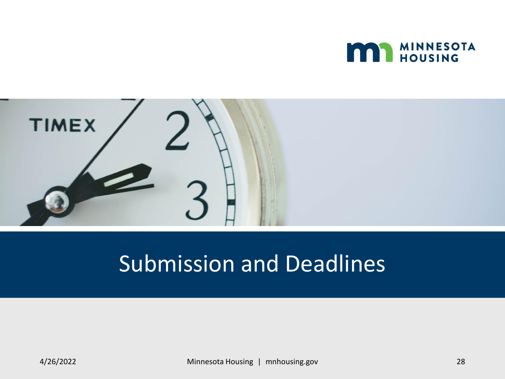



#### Submission and Deadlines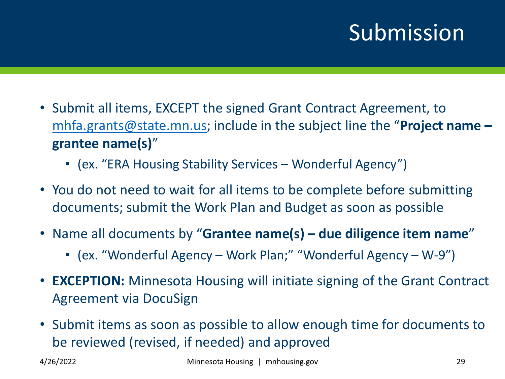### Submission

- Submit all items, EXCEPT the signed Grant Contract Agreement, to [mhfa.grants@state.mn.us](mailto:mhfa.grants@state.mn.us); include in the subject line the "**Project name – grantee name(s)**"
	- (ex. "ERA Housing Stability Services Wonderful Agency")
- You do not need to wait for all items to be complete before submitting documents; submit the Work Plan and Budget as soon as possible
- Name all documents by "**Grantee name(s) – due diligence item name**"
	- (ex. "Wonderful Agency Work Plan;" "Wonderful Agency W-9")
- **EXCEPTION:** Minnesota Housing will initiate signing of the Grant Contract Agreement via DocuSign
- Submit items as soon as possible to allow enough time for documents to be reviewed (revised, if needed) and approved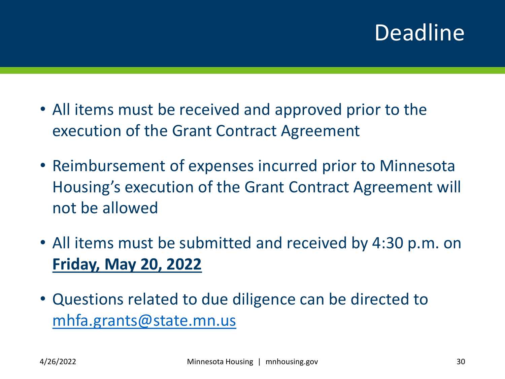#### Deadline

- All items must be received and approved prior to the execution of the Grant Contract Agreement
- Reimbursement of expenses incurred prior to Minnesota Housing's execution of the Grant Contract Agreement will not be allowed
- All items must be submitted and received by 4:30 p.m. on **Friday, May 20, 2022**
- Questions related to due diligence can be directed to [mhfa.grants@state.mn.us](mailto:mhfa.grants@state.mn.us)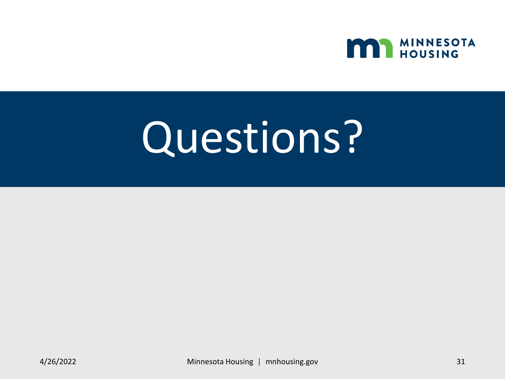

## Questions?